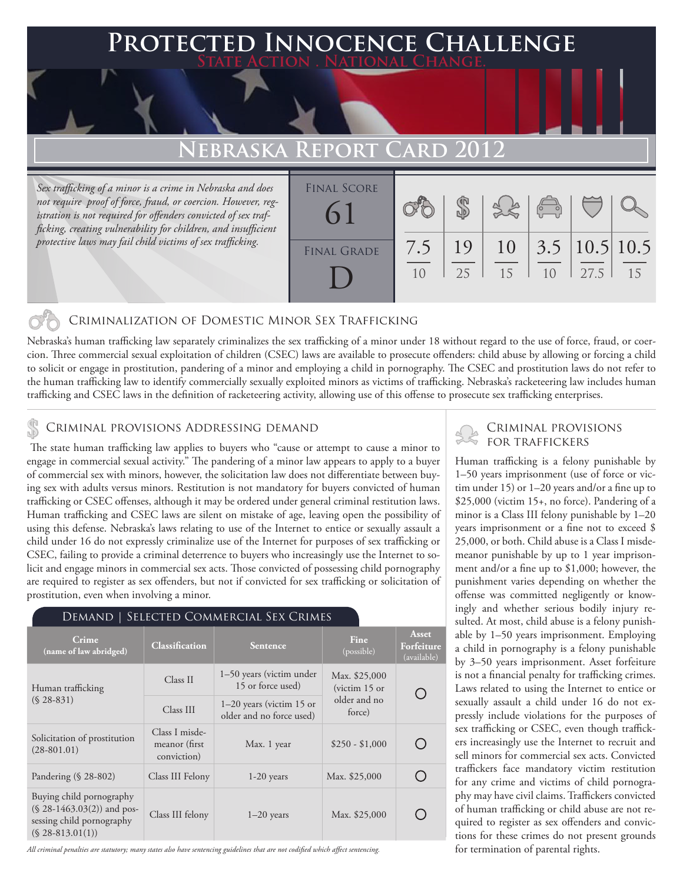## **PTED INNOCENCE CHALLENGE State Action . National Change.**

# **FEBRASKA REPORT**

*Sex trafficking of a minor is a crime in Nebraska and does not require proof of force, fraud, or coercion. However, registration is not required for offenders convicted of sex trafficking, creating vulnerability for children, and insufficient protective laws may fail child victims of sex trafficking.*

| <b>FINAL SCORE</b> |     |    |    | $\sqrt{2}$               |      |    |
|--------------------|-----|----|----|--------------------------|------|----|
| $\mathbf{C}$       |     |    |    |                          |      |    |
| <b>FINAL GRADE</b> | 7.5 | 19 |    | $10$   3.5   10.5   10.5 |      |    |
|                    | 10  | 25 | 15 | 10                       | 27.5 | 15 |

### Criminalization of Domestic Minor Sex Trafficking

Nebraska's human trafficking law separately criminalizes the sex trafficking of a minor under 18 without regard to the use of force, fraud, or coercion. Three commercial sexual exploitation of children (CSEC) laws are available to prosecute offenders: child abuse by allowing or forcing a child to solicit or engage in prostitution, pandering of a minor and employing a child in pornography. The CSEC and prostitution laws do not refer to the human trafficking law to identify commercially sexually exploited minors as victims of trafficking. Nebraska's racketeering law includes human trafficking and CSEC laws in the definition of racketeering activity, allowing use of this offense to prosecute sex trafficking enterprises.

 The state human trafficking law applies to buyers who "cause or attempt to cause a minor to engage in commercial sexual activity." The pandering of a minor law appears to apply to a buyer of commercial sex with minors, however, the solicitation law does not differentiate between buying sex with adults versus minors. Restitution is not mandatory for buyers convicted of human trafficking or CSEC offenses, although it may be ordered under general criminal restitution laws. Human trafficking and CSEC laws are silent on mistake of age, leaving open the possibility of using this defense. Nebraska's laws relating to use of the Internet to entice or sexually assault a child under 16 do not expressly criminalize use of the Internet for purposes of sex trafficking or CSEC, failing to provide a criminal deterrence to buyers who increasingly use the Internet to solicit and engage minors in commercial sex acts. Those convicted of possessing child pornography are required to register as sex offenders, but not if convicted for sex trafficking or solicitation of prostitution, even when involving a minor.

| DEMAND   SELECTED COMMERCIAL SEX CRIMES                                                                      |                                                 |                                                        |                                |                                    |  |  |  |  |
|--------------------------------------------------------------------------------------------------------------|-------------------------------------------------|--------------------------------------------------------|--------------------------------|------------------------------------|--|--|--|--|
| Crime<br>(name of law abridged)                                                                              | <b>Classification</b>                           | Sentence                                               | Fine<br>(possible)             | Asset<br>Forfeiture<br>(available) |  |  |  |  |
| Human trafficking<br>$(S$ 28-831)                                                                            | Class II                                        | 1-50 years (victim under<br>15 or force used)          | Max. \$25,000<br>(victim 15 or |                                    |  |  |  |  |
|                                                                                                              | Class III                                       | $1-20$ years (victim 15 or<br>older and no force used) | older and no<br>force)         |                                    |  |  |  |  |
| Solicitation of prostitution<br>$(28-801.01)$                                                                | Class I misde-<br>meanor (first)<br>conviction) | Max. 1 year                                            | $$250 - $1,000$                |                                    |  |  |  |  |
| Pandering $(\S$ 28-802)                                                                                      | Class III Felony                                | $1-20$ years                                           | Max. \$25,000                  |                                    |  |  |  |  |
| Buying child pornography<br>$(\$ 28-1463.03(2))$ and pos-<br>sessing child pornography<br>$(S$ 28-813.01(1)) | Class III felony                                | $1-20$ years                                           | Max. \$25,000                  |                                    |  |  |  |  |

*All criminal penalties are statutory; many states also have sentencing guidelines that are not codified which affect sentencing.* 

# CRIMINAL PROVISIONS ADDRESSING DEMAND<br>The state human trafficking law anglies to human who "cause or attempt to cause a minor to" FOR TRAFFICKERS

Human trafficking is a felony punishable by 1–50 years imprisonment (use of force or victim under 15) or 1–20 years and/or a fine up to \$25,000 (victim 15+, no force). Pandering of a minor is a Class III felony punishable by 1–20 years imprisonment or a fine not to exceed \$ 25,000, or both. Child abuse is a Class I misdemeanor punishable by up to 1 year imprisonment and/or a fine up to \$1,000; however, the punishment varies depending on whether the offense was committed negligently or knowingly and whether serious bodily injury resulted. At most, child abuse is a felony punishable by 1–50 years imprisonment. Employing a child in pornography is a felony punishable by 3–50 years imprisonment. Asset forfeiture is not a financial penalty for trafficking crimes. Laws related to using the Internet to entice or sexually assault a child under 16 do not expressly include violations for the purposes of sex trafficking or CSEC, even though traffickers increasingly use the Internet to recruit and sell minors for commercial sex acts. Convicted traffickers face mandatory victim restitution for any crime and victims of child pornography may have civil claims. Traffickers convicted of human trafficking or child abuse are not required to register as sex offenders and convictions for these crimes do not present grounds for termination of parental rights.